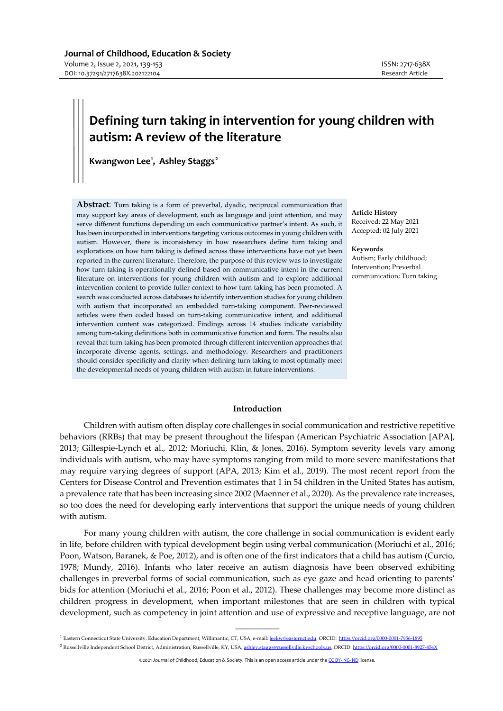# **Defining turn taking in intervention for young children with autism: A review of the literature**

**Kwangwon Lee[1](#page-0-0) , Ashley Staggs[2](#page-0-1)**

**Abstract**: Turn taking is a form of preverbal, dyadic, reciprocal communication that may support key areas of development, such as language and joint attention, and may serve different functions depending on each communicative partner's intent. As such, it has been incorporated in interventions targeting various outcomes in young children with autism. However, there is inconsistency in how researchers define turn taking and explorations on how turn taking is defined across these interventions have not yet been reported in the current literature. Therefore, the purpose of this review was to investigate how turn taking is operationally defined based on communicative intent in the current literature on interventions for young children with autism and to explore additional intervention content to provide fuller context to how turn taking has been promoted. A search was conducted across databases to identify intervention studies for young children with autism that incorporated an embedded turn-taking component. Peer-reviewed articles were then coded based on turn-taking communicative intent, and additional intervention content was categorized. Findings across 14 studies indicate variability among turn-taking definitions both in communicative function and form. The results also reveal that turn taking has been promoted through different intervention approaches that incorporate diverse agents, settings, and methodology. Researchers and practitioners should consider specificity and clarity when defining turn taking to most optimally meet the developmental needs of young children with autism in future interventions.

**Article History** Received: 22 May 2021 Accepted: 02 July 2021

#### **Keywords**

Autism; Early childhood; Intervention; Preverbal communication; Turn taking

# **Introduction**

Children with autism often display core challenges in social communication and restrictive repetitive behaviors (RRBs) that may be present throughout the lifespan (American Psychiatric Association [APA], 2013; Gillespie-Lynch et al., 2012; Moriuchi, Klin, & Jones, 2016). Symptom severity levels vary among individuals with autism, who may have symptoms ranging from mild to more severe manifestations that may require varying degrees of support (APA, 2013; Kim et al., 2019). The most recent report from the Centers for Disease Control and Prevention estimates that 1 in 54 children in the United States has autism, a prevalence rate that has been increasing since 2002 (Maenner et al., 2020). As the prevalence rate increases, so too does the need for developing early interventions that support the unique needs of young children with autism.

For many young children with autism, the core challenge in social communication is evident early in life, before children with typical development begin using verbal communication (Moriuchi et al., 2016; Poon, Watson, Baranek, & Poe, 2012), and is often one of the first indicators that a child has autism (Curcio, 1978; Mundy, 2016). Infants who later receive an autism diagnosis have been observed exhibiting challenges in preverbal forms of social communication, such as eye gaze and head orienting to parents' bids for attention (Moriuchi et al., 2016; Poon et al., 2012). These challenges may become more distinct as children progress in development, when important milestones that are seen in children with typical development, such as competency in joint attention and use of expressive and receptive language, are not

©2021 Journal of Childhood, Education & Society. This is an open access article under th[e CC BY-](https://creativecommons.org/licenses/by-nc-nd/4.0/) NC- ND license.

 $\overline{\phantom{a}}$ 

<span id="page-0-1"></span><span id="page-0-0"></span><sup>1</sup> Eastern Connecticut State University, Education Department, Willimantic, CT, USA, e-mail: [leekw@easternct.edu,](mailto:leekw@easternct.edu) ORCID: <https://orcid.org/0000-0001-7956-1895> <sup>2</sup> Russellville Independent School District, Administration, Russellville, KY, USA[, ashley.staggs@russellville.kyschools.us,](mailto:ashley.staggs@russellville.kyschools.us) ORCID: <https://orcid.org/0000-0001-8927-454X>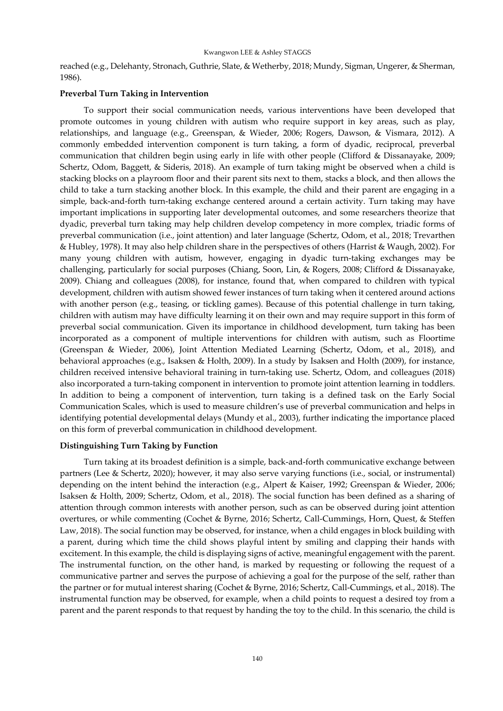reached (e.g., Delehanty, Stronach, Guthrie, Slate, & Wetherby, 2018; Mundy, Sigman, Ungerer, & Sherman, 1986).

# **Preverbal Turn Taking in Intervention**

To support their social communication needs, various interventions have been developed that promote outcomes in young children with autism who require support in key areas, such as play, relationships, and language (e.g., Greenspan, & Wieder, 2006; Rogers, Dawson, & Vismara, 2012). A commonly embedded intervention component is turn taking, a form of dyadic, reciprocal, preverbal communication that children begin using early in life with other people (Clifford & Dissanayake, 2009; Schertz, Odom, Baggett, & Sideris, 2018). An example of turn taking might be observed when a child is stacking blocks on a playroom floor and their parent sits next to them, stacks a block, and then allows the child to take a turn stacking another block. In this example, the child and their parent are engaging in a simple, back-and-forth turn-taking exchange centered around a certain activity. Turn taking may have important implications in supporting later developmental outcomes, and some researchers theorize that dyadic, preverbal turn taking may help children develop competency in more complex, triadic forms of preverbal communication (i.e., joint attention) and later language (Schertz, Odom, et al., 2018; Trevarthen & Hubley, 1978). It may also help children share in the perspectives of others (Harrist & Waugh, 2002). For many young children with autism, however, engaging in dyadic turn-taking exchanges may be challenging, particularly for social purposes (Chiang, Soon, Lin, & Rogers, 2008; Clifford & Dissanayake, 2009). Chiang and colleagues (2008), for instance, found that, when compared to children with typical development, children with autism showed fewer instances of turn taking when it centered around actions with another person (e.g., teasing, or tickling games). Because of this potential challenge in turn taking, children with autism may have difficulty learning it on their own and may require support in this form of preverbal social communication. Given its importance in childhood development, turn taking has been incorporated as a component of multiple interventions for children with autism, such as Floortime (Greenspan & Wieder, 2006), Joint Attention Mediated Learning (Schertz, Odom, et al., 2018), and behavioral approaches (e.g., Isaksen & Holth, 2009). In a study by Isaksen and Holth (2009), for instance, children received intensive behavioral training in turn-taking use. Schertz, Odom, and colleagues (2018) also incorporated a turn-taking component in intervention to promote joint attention learning in toddlers. In addition to being a component of intervention, turn taking is a defined task on the Early Social Communication Scales, which is used to measure children's use of preverbal communication and helps in identifying potential developmental delays (Mundy et al., 2003), further indicating the importance placed on this form of preverbal communication in childhood development.

## **Distinguishing Turn Taking by Function**

Turn taking at its broadest definition is a simple, back-and-forth communicative exchange between partners (Lee & Schertz, 2020); however, it may also serve varying functions (i.e., social, or instrumental) depending on the intent behind the interaction (e.g., Alpert & Kaiser, 1992; Greenspan & Wieder, 2006; Isaksen & Holth, 2009; Schertz, Odom, et al., 2018). The social function has been defined as a sharing of attention through common interests with another person, such as can be observed during joint attention overtures, or while commenting (Cochet & Byrne, 2016; Schertz, Call-Cummings, Horn, Quest, & Steffen Law, 2018). The social function may be observed, for instance, when a child engages in block building with a parent, during which time the child shows playful intent by smiling and clapping their hands with excitement. In this example, the child is displaying signs of active, meaningful engagement with the parent. The instrumental function, on the other hand, is marked by requesting or following the request of a communicative partner and serves the purpose of achieving a goal for the purpose of the self, rather than the partner or for mutual interest sharing (Cochet & Byrne, 2016; Schertz, Call-Cummings, et al., 2018). The instrumental function may be observed, for example, when a child points to request a desired toy from a parent and the parent responds to that request by handing the toy to the child. In this scenario, the child is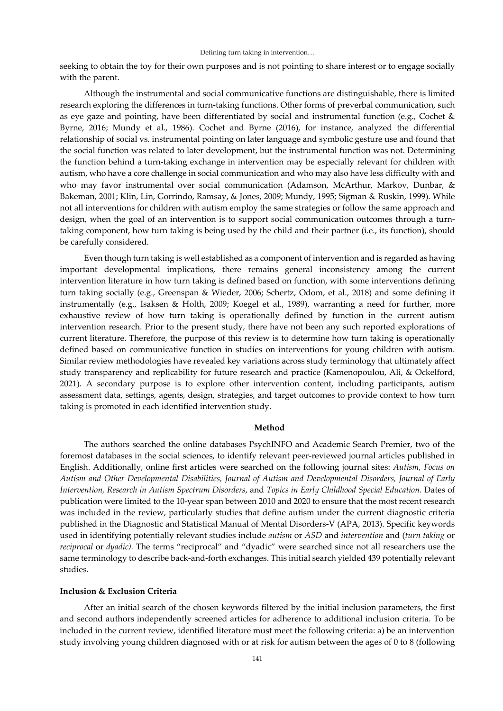seeking to obtain the toy for their own purposes and is not pointing to share interest or to engage socially with the parent.

Although the instrumental and social communicative functions are distinguishable, there is limited research exploring the differences in turn-taking functions. Other forms of preverbal communication, such as eye gaze and pointing, have been differentiated by social and instrumental function (e.g., Cochet & Byrne, 2016; Mundy et al., 1986). Cochet and Byrne (2016), for instance, analyzed the differential relationship of social vs. instrumental pointing on later language and symbolic gesture use and found that the social function was related to later development, but the instrumental function was not. Determining the function behind a turn-taking exchange in intervention may be especially relevant for children with autism, who have a core challenge in social communication and who may also have less difficulty with and who may favor instrumental over social communication (Adamson, McArthur, Markov, Dunbar, & Bakeman, 2001; Klin, Lin, Gorrindo, Ramsay, & Jones, 2009; Mundy, 1995; Sigman & Ruskin, 1999). While not all interventions for children with autism employ the same strategies or follow the same approach and design, when the goal of an intervention is to support social communication outcomes through a turntaking component, how turn taking is being used by the child and their partner (i.e., its function), should be carefully considered.

Even though turn taking is well established as a component of intervention and is regarded as having important developmental implications, there remains general inconsistency among the current intervention literature in how turn taking is defined based on function, with some interventions defining turn taking socially (e.g., Greenspan & Wieder, 2006; Schertz, Odom, et al., 2018) and some defining it instrumentally (e.g., Isaksen & Holth, 2009; Koegel et al., 1989), warranting a need for further, more exhaustive review of how turn taking is operationally defined by function in the current autism intervention research. Prior to the present study, there have not been any such reported explorations of current literature. Therefore, the purpose of this review is to determine how turn taking is operationally defined based on communicative function in studies on interventions for young children with autism. Similar review methodologies have revealed key variations across study terminology that ultimately affect study transparency and replicability for future research and practice (Kamenopoulou, Ali, & Ockelford, 2021). A secondary purpose is to explore other intervention content, including participants, autism assessment data, settings, agents, design, strategies, and target outcomes to provide context to how turn taking is promoted in each identified intervention study.

## **Method**

The authors searched the online databases PsychINFO and Academic Search Premier, two of the foremost databases in the social sciences, to identify relevant peer-reviewed journal articles published in English. Additionally, online first articles were searched on the following journal sites: *Autism, Focus on Autism and Other Developmental Disabilities, Journal of Autism and Developmental Disorders, Journal of Early Intervention, Research in Autism Spectrum Disorders*, and *Topics in Early Childhood Special Education.* Dates of publication were limited to the 10-year span between 2010 and 2020 to ensure that the most recent research was included in the review, particularly studies that define autism under the current diagnostic criteria published in the Diagnostic and Statistical Manual of Mental Disorders-V (APA, 2013). Specific keywords used in identifying potentially relevant studies include *autism* or *ASD* and *intervention* and (*turn taking* or *reciprocal* or *dyadic).* The terms "reciprocal" and "dyadic" were searched since not all researchers use the same terminology to describe back-and-forth exchanges. This initial search yielded 439 potentially relevant studies.

# **Inclusion & Exclusion Criteria**

After an initial search of the chosen keywords filtered by the initial inclusion parameters, the first and second authors independently screened articles for adherence to additional inclusion criteria. To be included in the current review, identified literature must meet the following criteria: a) be an intervention study involving young children diagnosed with or at risk for autism between the ages of 0 to 8 (following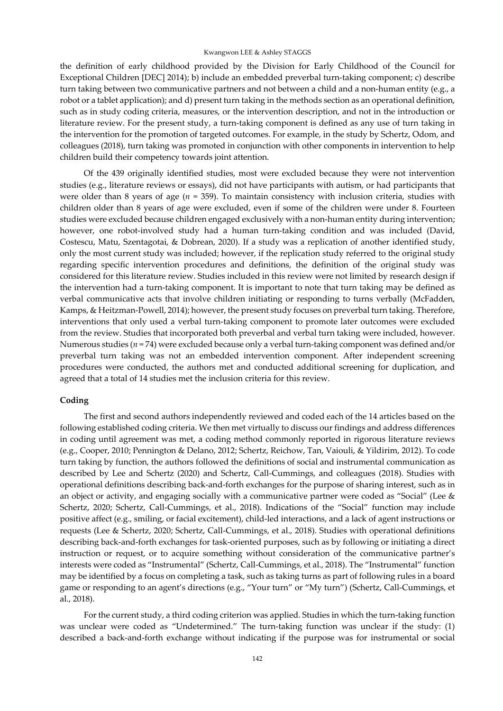the definition of early childhood provided by the Division for Early Childhood of the Council for Exceptional Children [DEC] 2014); b) include an embedded preverbal turn-taking component; c) describe turn taking between two communicative partners and not between a child and a non-human entity (e.g., a robot or a tablet application); and d) present turn taking in the methods section as an operational definition, such as in study coding criteria, measures, or the intervention description, and not in the introduction or literature review. For the present study, a turn-taking component is defined as any use of turn taking in the intervention for the promotion of targeted outcomes. For example, in the study by Schertz, Odom, and colleagues (2018), turn taking was promoted in conjunction with other components in intervention to help children build their competency towards joint attention.

Of the 439 originally identified studies, most were excluded because they were not intervention studies (e.g., literature reviews or essays), did not have participants with autism, or had participants that were older than 8 years of age (*n* = 359). To maintain consistency with inclusion criteria, studies with children older than 8 years of age were excluded, even if some of the children were under 8. Fourteen studies were excluded because children engaged exclusively with a non-human entity during intervention; however, one robot-involved study had a human turn-taking condition and was included (David, Costescu, Matu, Szentagotai, & Dobrean, 2020). If a study was a replication of another identified study, only the most current study was included; however, if the replication study referred to the original study regarding specific intervention procedures and definitions, the definition of the original study was considered for this literature review. Studies included in this review were not limited by research design if the intervention had a turn-taking component. It is important to note that turn taking may be defined as verbal communicative acts that involve children initiating or responding to turns verbally (McFadden, Kamps, & Heitzman-Powell, 2014); however, the present study focuses on preverbal turn taking. Therefore, interventions that only used a verbal turn-taking component to promote later outcomes were excluded from the review. Studies that incorporated both preverbal and verbal turn taking were included, however. Numerous studies (*n* = 74) were excluded because only a verbal turn-taking component was defined and/or preverbal turn taking was not an embedded intervention component. After independent screening procedures were conducted, the authors met and conducted additional screening for duplication, and agreed that a total of 14 studies met the inclusion criteria for this review.

# **Coding**

The first and second authors independently reviewed and coded each of the 14 articles based on the following established coding criteria. We then met virtually to discuss our findings and address differences in coding until agreement was met, a coding method commonly reported in rigorous literature reviews (e.g., Cooper, 2010; Pennington & Delano, 2012; Schertz, Reichow, Tan, Vaiouli, & Yildirim, 2012). To code turn taking by function, the authors followed the definitions of social and instrumental communication as described by Lee and Schertz (2020) and Schertz, Call-Cummings, and colleagues (2018). Studies with operational definitions describing back-and-forth exchanges for the purpose of sharing interest, such as in an object or activity, and engaging socially with a communicative partner were coded as "Social" (Lee & Schertz, 2020; Schertz, Call-Cummings, et al., 2018). Indications of the "Social" function may include positive affect (e.g., smiling, or facial excitement), child-led interactions, and a lack of agent instructions or requests (Lee & Schertz, 2020; Schertz, Call-Cummings, et al., 2018). Studies with operational definitions describing back-and-forth exchanges for task-oriented purposes, such as by following or initiating a direct instruction or request, or to acquire something without consideration of the communicative partner's interests were coded as "Instrumental" (Schertz, Call-Cummings, et al., 2018). The "Instrumental" function may be identified by a focus on completing a task, such as taking turns as part of following rules in a board game or responding to an agent's directions (e.g., "Your turn" or "My turn") (Schertz, Call-Cummings, et al., 2018).

For the current study, a third coding criterion was applied. Studies in which the turn-taking function was unclear were coded as "Undetermined." The turn-taking function was unclear if the study: (1) described a back-and-forth exchange without indicating if the purpose was for instrumental or social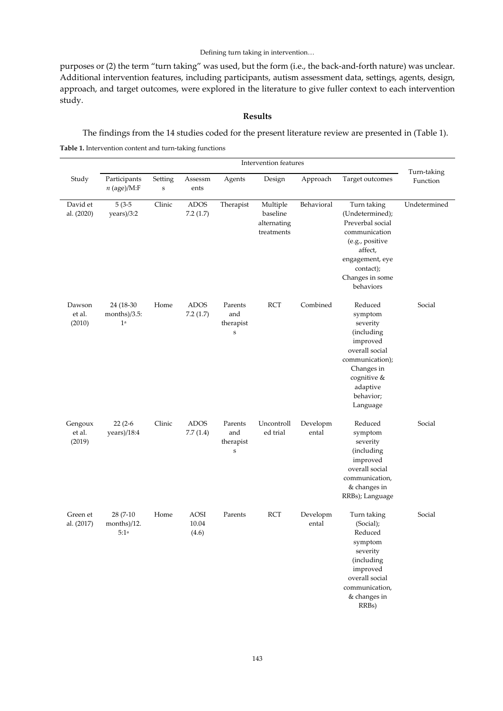purposes or (2) the term "turn taking" was used, but the form (i.e., the back-and-forth nature) was unclear. Additional intervention features, including participants, autism assessment data, settings, agents, design, approach, and target outcomes, were explored in the literature to give fuller context to each intervention study.

# **Results**

The findings from the 14 studies coded for the present literature review are presented in (Table 1). **Table 1.** Intervention content and turn-taking functions

| Study                       | Participants<br>$n$ (age)/M:F                   | Setting<br>$\bf S$ | Assessm<br>ents               | Agents                                     | Design                                            | Approach          | Target outcomes                                                                                                                                                   | Turn-taking<br>Function |
|-----------------------------|-------------------------------------------------|--------------------|-------------------------------|--------------------------------------------|---------------------------------------------------|-------------------|-------------------------------------------------------------------------------------------------------------------------------------------------------------------|-------------------------|
| David et<br>al. (2020)      | $5(3-5)$<br>years)/3:2                          | Clinic             | <b>ADOS</b><br>7.2(1.7)       | Therapist                                  | Multiple<br>baseline<br>alternating<br>treatments | Behavioral        | Turn taking<br>(Undetermined);<br>Preverbal social<br>communication<br>(e.g., positive<br>affect,<br>engagement, eye<br>contact);<br>Changes in some<br>behaviors | Undetermined            |
| Dawson<br>et al.<br>(2010)  | 24 (18-30<br>months $)/3.5$ :<br>1 <sup>a</sup> | Home               | <b>ADOS</b><br>7.2(1.7)       | Parents<br>and<br>therapist<br>$\mathbf S$ | <b>RCT</b>                                        | Combined          | Reduced<br>symptom<br>severity<br>(including<br>improved<br>overall social<br>communication);<br>Changes in<br>cognitive &<br>adaptive<br>behavior;<br>Language   | Social                  |
| Gengoux<br>et al.<br>(2019) | $22(2-6)$<br>years)/18:4                        | Clinic             | <b>ADOS</b><br>7.7(1.4)       | Parents<br>and<br>therapist<br>$\bf S$     | Uncontroll<br>ed trial                            | Developm<br>ental | Reduced<br>symptom<br>severity<br>(including<br>improved<br>overall social<br>communication,<br>& changes in<br>RRBs); Language                                   | Social                  |
| Green et<br>al. (2017)      | 28 (7-10)<br>months)/12.<br>5:1a                | Home               | <b>AOSI</b><br>10.04<br>(4.6) | Parents                                    | <b>RCT</b>                                        | Developm<br>ental | Turn taking<br>(Social);<br>Reduced<br>symptom<br>severity<br>(including<br>improved<br>overall social<br>communication,<br>& changes in<br>RRBs)                 | Social                  |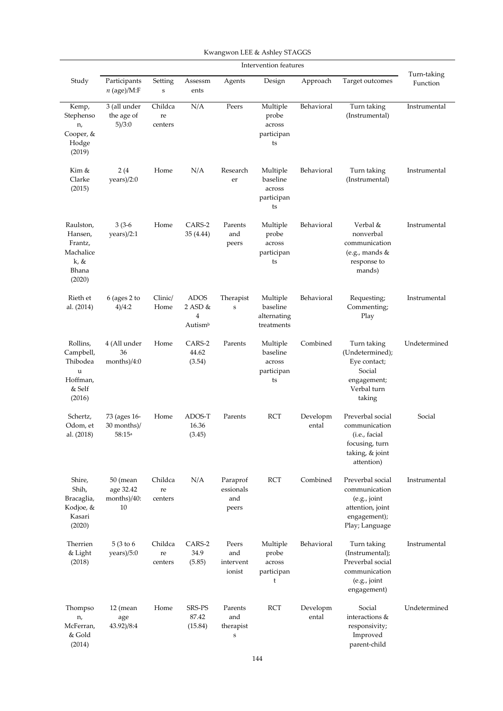|                                                                         | Intervention features                      |                          |                                                                     |                                            |                                                    |                   |                                                                                                         |                         |
|-------------------------------------------------------------------------|--------------------------------------------|--------------------------|---------------------------------------------------------------------|--------------------------------------------|----------------------------------------------------|-------------------|---------------------------------------------------------------------------------------------------------|-------------------------|
| Study                                                                   | Participants<br>$n$ (age)/M:F              | Setting<br>$\bf S$       | Assessm<br>ents                                                     | Agents                                     | Design                                             | Approach          | Target outcomes                                                                                         | Turn-taking<br>Function |
| Kemp,<br>Stephenso<br>n,<br>Cooper, &<br>Hodge<br>(2019)                | 3 (all under<br>the age of<br>5)/3:0       | Childca<br>re<br>centers | N/A                                                                 | Peers                                      | Multiple<br>probe<br>across<br>participan<br>ts    | Behavioral        | Turn taking<br>(Instrumental)                                                                           | Instrumental            |
| Kim &<br>Clarke<br>(2015)                                               | 2(4)<br>years)/2:0                         | Home                     | N/A                                                                 | Research<br>er                             | Multiple<br>baseline<br>across<br>participan<br>ts | Behavioral        | Turn taking<br>(Instrumental)                                                                           | Instrumental            |
| Raulston,<br>Hansen,<br>Frantz,<br>Machalice<br>k, &<br>Bhana<br>(2020) | $3(3-6)$<br>years)/2:1                     | Home                     | CARS-2<br>35 (4.44)                                                 | Parents<br>and<br>peers                    | Multiple<br>probe<br>across<br>participan<br>ts    | Behavioral        | Verbal &<br>nonverbal<br>communication<br>(e.g., mands $&$<br>response to<br>mands)                     | Instrumental            |
| Rieth et<br>al. (2014)                                                  | $6$ (ages 2 to<br>4)/4:2                   | Clinic/<br>Home          | <b>ADOS</b><br>$2$ ASD $&$<br>$\overline{4}$<br>Autism <sup>b</sup> | Therapist<br>$\mathbf S$                   | Multiple<br>baseline<br>alternating<br>treatments  | Behavioral        | Requesting;<br>Commenting;<br>Play                                                                      | Instrumental            |
| Rollins,<br>Campbell,<br>Thibodea<br>u<br>Hoffman,<br>& Self<br>(2016)  | 4 (All under<br>36<br>months)/4:0          | Home                     | CARS-2<br>44.62<br>(3.54)                                           | Parents                                    | Multiple<br>baseline<br>across<br>participan<br>ts | Combined          | Turn taking<br>(Undetermined);<br>Eye contact;<br>Social<br>engagement;<br>Verbal turn<br>taking        | Undetermined            |
| Schertz,<br>Odom, et<br>al. (2018)                                      | 73 (ages 16-<br>30 months)/<br>58:15a      | Home                     | ADOS-T<br>16.36<br>(3.45)                                           | Parents                                    | <b>RCT</b>                                         | Developm<br>ental | Preverbal social<br>communication<br>(i.e., facial<br>focusing, turn<br>taking, & joint<br>attention)   | Social                  |
| Shire,<br>Shih,<br>Bracaglia,<br>Kodjoe, &<br>Kasari<br>(2020)          | 50 (mean<br>age 32.42<br>months)/40:<br>10 | Childca<br>re<br>centers | N/A                                                                 | Paraprof<br>essionals<br>and<br>peers      | <b>RCT</b>                                         | Combined          | Preverbal social<br>communication<br>(e.g., joint<br>attention, joint<br>engagement);<br>Play; Language | Instrumental            |
| Therrien<br>& Light<br>(2018)                                           | 5(3 to 6)<br>years)/5:0                    | Childca<br>re<br>centers | CARS-2<br>34.9<br>(5.85)                                            | Peers<br>and<br>intervent<br>ionist        | Multiple<br>probe<br>across<br>participan<br>t     | Behavioral        | Turn taking<br>(Instrumental);<br>Preverbal social<br>communication<br>(e.g., joint<br>engagement)      | Instrumental            |
| Thompso<br>n,<br>McFerran,<br>& Gold<br>(2014)                          | $12$ (mean<br>age<br>43.92)/8:4            | Home                     | SRS-PS<br>87.42<br>(15.84)                                          | Parents<br>and<br>therapist<br>$\mathbf S$ | <b>RCT</b>                                         | Developm<br>ental | Social<br>interactions &<br>responsivity;<br>Improved<br>parent-child                                   | Undetermined            |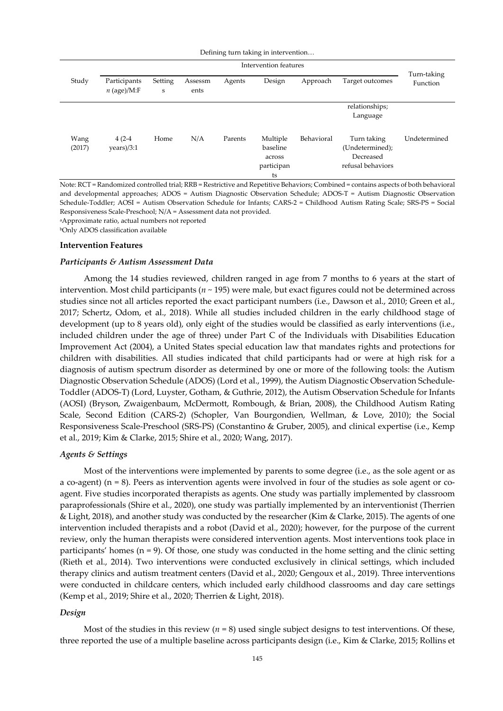|                | Intervention features         |                        |                 |         |                                                    |            |                                                                  |                         |
|----------------|-------------------------------|------------------------|-----------------|---------|----------------------------------------------------|------------|------------------------------------------------------------------|-------------------------|
| Study          | Participants<br>$n$ (age)/M:F | Setting<br>$\mathbf S$ | Assessm<br>ents | Agents  | Design                                             | Approach   | Target outcomes                                                  | Turn-taking<br>Function |
|                |                               |                        |                 |         |                                                    |            | relationships;<br>Language                                       |                         |
| Wang<br>(2017) | $4(2-4)$<br>years)/3:1        | Home                   | N/A             | Parents | Multiple<br>baseline<br>across<br>participan<br>ts | Behavioral | Turn taking<br>(Undetermined);<br>Decreased<br>refusal behaviors | Undetermined            |

Note: RCT = Randomized controlled trial; RRB = Restrictive and Repetitive Behaviors; Combined = contains aspects of both behavioral and developmental approaches; ADOS = Autism Diagnostic Observation Schedule; ADOS-T = Autism Diagnostic Observation Schedule-Toddler; AOSI = Autism Observation Schedule for Infants; CARS-2 = Childhood Autism Rating Scale; SRS-PS = Social Responsiveness Scale-Preschool; N/A = Assessment data not provided.

aApproximate ratio, actual numbers not reported

bOnly ADOS classification available

#### **Intervention Features**

#### *Participants & Autism Assessment Data*

Among the 14 studies reviewed, children ranged in age from 7 months to 6 years at the start of intervention. Most child participants (*n* ~ 195) were male, but exact figures could not be determined across studies since not all articles reported the exact participant numbers (i.e., Dawson et al., 2010; Green et al., 2017; Schertz, Odom, et al., 2018). While all studies included children in the early childhood stage of development (up to 8 years old), only eight of the studies would be classified as early interventions (i.e., included children under the age of three) under Part C of the Individuals with Disabilities Education Improvement Act (2004), a United States special education law that mandates rights and protections for children with disabilities. All studies indicated that child participants had or were at high risk for a diagnosis of autism spectrum disorder as determined by one or more of the following tools: the Autism Diagnostic Observation Schedule (ADOS) (Lord et al., 1999), the Autism Diagnostic Observation Schedule-Toddler (ADOS-T) (Lord, Luyster, Gotham, & Guthrie, 2012), the Autism Observation Schedule for Infants (AOSI) (Bryson, Zwaigenbaum, McDermott, Rombough, & Brian, 2008), the Childhood Autism Rating Scale, Second Edition (CARS-2) (Schopler, Van Bourgondien, Wellman, & Love, 2010); the Social Responsiveness Scale-Preschool (SRS-PS) (Constantino & Gruber, 2005), and clinical expertise (i.e., Kemp et al., 2019; Kim & Clarke, 2015; Shire et al., 2020; Wang, 2017).

#### *Agents & Settings*

Most of the interventions were implemented by parents to some degree (i.e., as the sole agent or as a co-agent) (n = 8). Peers as intervention agents were involved in four of the studies as sole agent or coagent. Five studies incorporated therapists as agents. One study was partially implemented by classroom paraprofessionals (Shire et al., 2020), one study was partially implemented by an interventionist (Therrien & Light, 2018), and another study was conducted by the researcher (Kim & Clarke, 2015). The agents of one intervention included therapists and a robot (David et al., 2020); however, for the purpose of the current review, only the human therapists were considered intervention agents. Most interventions took place in participants' homes (n = 9). Of those, one study was conducted in the home setting and the clinic setting (Rieth et al., 2014). Two interventions were conducted exclusively in clinical settings, which included therapy clinics and autism treatment centers (David et al., 2020; Gengoux et al., 2019). Three interventions were conducted in childcare centers, which included early childhood classrooms and day care settings (Kemp et al., 2019; Shire et al., 2020; Therrien & Light, 2018).

# *Design*

Most of the studies in this review  $(n = 8)$  used single subject designs to test interventions. Of these, three reported the use of a multiple baseline across participants design (i.e., Kim & Clarke, 2015; Rollins et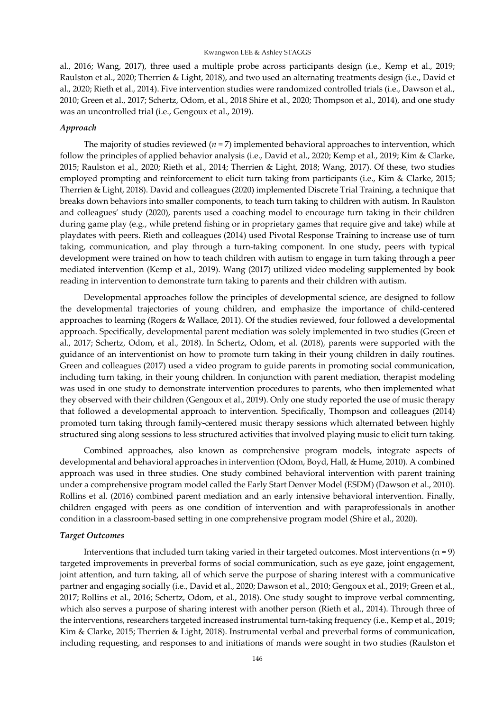al., 2016; Wang, 2017), three used a multiple probe across participants design (i.e., Kemp et al., 2019; Raulston et al., 2020; Therrien & Light, 2018), and two used an alternating treatments design (i.e., David et al., 2020; Rieth et al., 2014). Five intervention studies were randomized controlled trials (i.e., Dawson et al., 2010; Green et al., 2017; Schertz, Odom, et al., 2018 Shire et al., 2020; Thompson et al., 2014), and one study was an uncontrolled trial (i.e., Gengoux et al., 2019).

# *Approach*

The majority of studies reviewed (*n* = 7) implemented behavioral approaches to intervention, which follow the principles of applied behavior analysis (i.e., David et al., 2020; Kemp et al., 2019; Kim & Clarke, 2015; Raulston et al., 2020; Rieth et al., 2014; Therrien & Light, 2018; Wang, 2017). Of these, two studies employed prompting and reinforcement to elicit turn taking from participants (i.e., Kim & Clarke, 2015; Therrien & Light, 2018). David and colleagues (2020) implemented Discrete Trial Training, a technique that breaks down behaviors into smaller components, to teach turn taking to children with autism. In Raulston and colleagues' study (2020), parents used a coaching model to encourage turn taking in their children during game play (e.g., while pretend fishing or in proprietary games that require give and take) while at playdates with peers. Rieth and colleagues (2014) used Pivotal Response Training to increase use of turn taking, communication, and play through a turn-taking component. In one study, peers with typical development were trained on how to teach children with autism to engage in turn taking through a peer mediated intervention (Kemp et al., 2019). Wang (2017) utilized video modeling supplemented by book reading in intervention to demonstrate turn taking to parents and their children with autism.

Developmental approaches follow the principles of developmental science, are designed to follow the developmental trajectories of young children, and emphasize the importance of child-centered approaches to learning (Rogers & Wallace, 2011). Of the studies reviewed, four followed a developmental approach. Specifically, developmental parent mediation was solely implemented in two studies (Green et al., 2017; Schertz, Odom, et al., 2018). In Schertz, Odom, et al. (2018), parents were supported with the guidance of an interventionist on how to promote turn taking in their young children in daily routines. Green and colleagues (2017) used a video program to guide parents in promoting social communication, including turn taking, in their young children. In conjunction with parent mediation, therapist modeling was used in one study to demonstrate intervention procedures to parents, who then implemented what they observed with their children (Gengoux et al., 2019). Only one study reported the use of music therapy that followed a developmental approach to intervention. Specifically, Thompson and colleagues (2014) promoted turn taking through family-centered music therapy sessions which alternated between highly structured sing along sessions to less structured activities that involved playing music to elicit turn taking.

Combined approaches, also known as comprehensive program models, integrate aspects of developmental and behavioral approaches in intervention (Odom, Boyd, Hall, & Hume, 2010). A combined approach was used in three studies. One study combined behavioral intervention with parent training under a comprehensive program model called the Early Start Denver Model (ESDM) (Dawson et al., 2010). Rollins et al. (2016) combined parent mediation and an early intensive behavioral intervention. Finally, children engaged with peers as one condition of intervention and with paraprofessionals in another condition in a classroom-based setting in one comprehensive program model (Shire et al., 2020).

## *Target Outcomes*

Interventions that included turn taking varied in their targeted outcomes. Most interventions  $(n = 9)$ targeted improvements in preverbal forms of social communication, such as eye gaze, joint engagement, joint attention, and turn taking, all of which serve the purpose of sharing interest with a communicative partner and engaging socially (i.e., David et al., 2020; Dawson et al., 2010; Gengoux et al., 2019; Green et al., 2017; Rollins et al., 2016; Schertz, Odom, et al., 2018). One study sought to improve verbal commenting, which also serves a purpose of sharing interest with another person (Rieth et al., 2014). Through three of the interventions, researchers targeted increased instrumental turn-taking frequency (i.e., Kemp et al., 2019; Kim & Clarke, 2015; Therrien & Light, 2018). Instrumental verbal and preverbal forms of communication, including requesting, and responses to and initiations of mands were sought in two studies (Raulston et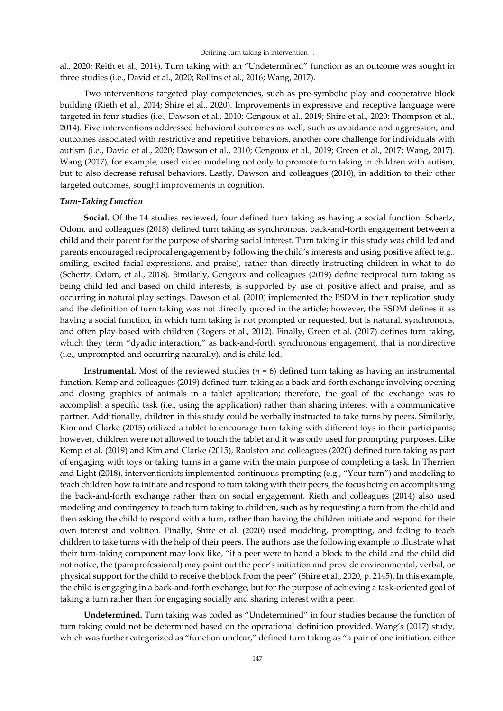al., 2020; Reith et al., 2014). Turn taking with an "Undetermined" function as an outcome was sought in three studies (i.e., David et al., 2020; Rollins et al., 2016; Wang, 2017).

Two interventions targeted play competencies, such as pre-symbolic play and cooperative block building (Rieth et al., 2014; Shire et al., 2020). Improvements in expressive and receptive language were targeted in four studies (i.e., Dawson et al., 2010; Gengoux et al., 2019; Shire et al., 2020; Thompson et al., 2014). Five interventions addressed behavioral outcomes as well, such as avoidance and aggression, and outcomes associated with restrictive and repetitive behaviors, another core challenge for individuals with autism (i.e., David et al., 2020; Dawson et al., 2010; Gengoux et al., 2019; Green et al., 2017; Wang, 2017). Wang (2017), for example, used video modeling not only to promote turn taking in children with autism, but to also decrease refusal behaviors. Lastly, Dawson and colleagues (2010), in addition to their other targeted outcomes, sought improvements in cognition.

#### *Turn-Taking Function*

**Social.** Of the 14 studies reviewed, four defined turn taking as having a social function. Schertz, Odom, and colleagues (2018) defined turn taking as synchronous, back-and-forth engagement between a child and their parent for the purpose of sharing social interest. Turn taking in this study was child led and parents encouraged reciprocal engagement by following the child's interests and using positive affect (e.g., smiling, excited facial expressions, and praise), rather than directly instructing children in what to do (Schertz, Odom, et al., 2018). Similarly, Gengoux and colleagues (2019) define reciprocal turn taking as being child led and based on child interests, is supported by use of positive affect and praise, and as occurring in natural play settings. Dawson et al. (2010) implemented the ESDM in their replication study and the definition of turn taking was not directly quoted in the article; however, the ESDM defines it as having a social function, in which turn taking is not prompted or requested, but is natural, synchronous, and often play-based with children (Rogers et al., 2012). Finally, Green et al. (2017) defines turn taking, which they term "dyadic interaction," as back-and-forth synchronous engagement, that is nondirective (i.e., unprompted and occurring naturally), and is child led.

**Instrumental.** Most of the reviewed studies  $(n = 6)$  defined turn taking as having an instrumental function. Kemp and colleagues (2019) defined turn taking as a back-and-forth exchange involving opening and closing graphics of animals in a tablet application; therefore, the goal of the exchange was to accomplish a specific task (i.e., using the application) rather than sharing interest with a communicative partner. Additionally, children in this study could be verbally instructed to take turns by peers. Similarly, Kim and Clarke (2015) utilized a tablet to encourage turn taking with different toys in their participants; however, children were not allowed to touch the tablet and it was only used for prompting purposes. Like Kemp et al. (2019) and Kim and Clarke (2015), Raulston and colleagues (2020) defined turn taking as part of engaging with toys or taking turns in a game with the main purpose of completing a task. In Therrien and Light (2018), interventionists implemented continuous prompting (e.g., "Your turn") and modeling to teach children how to initiate and respond to turn taking with their peers, the focus being on accomplishing the back-and-forth exchange rather than on social engagement. Rieth and colleagues (2014) also used modeling and contingency to teach turn taking to children, such as by requesting a turn from the child and then asking the child to respond with a turn, rather than having the children initiate and respond for their own interest and volition. Finally, Shire et al. (2020) used modeling, prompting, and fading to teach children to take turns with the help of their peers. The authors use the following example to illustrate what their turn-taking component may look like, "if a peer were to hand a block to the child and the child did not notice, the (paraprofessional) may point out the peer's initiation and provide environmental, verbal, or physical support for the child to receive the block from the peer" (Shire et al., 2020, p. 2145). In this example, the child is engaging in a back-and-forth exchange, but for the purpose of achieving a task-oriented goal of taking a turn rather than for engaging socially and sharing interest with a peer.

**Undetermined.** Turn taking was coded as "Undetermined" in four studies because the function of turn taking could not be determined based on the operational definition provided. Wang's (2017) study, which was further categorized as "function unclear," defined turn taking as "a pair of one initiation, either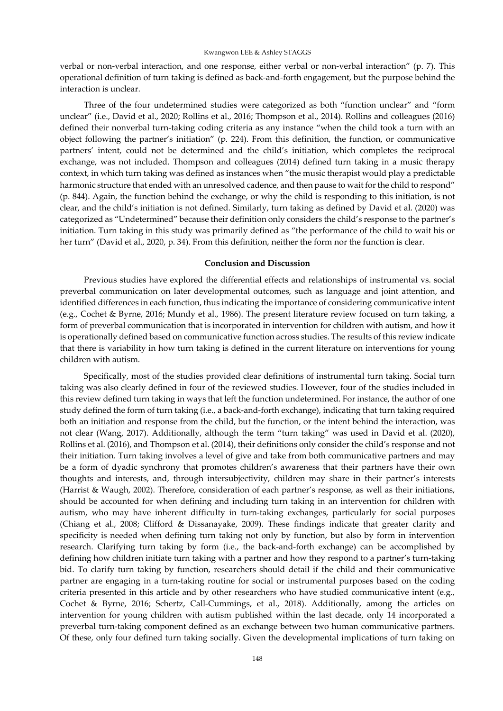verbal or non-verbal interaction, and one response, either verbal or non-verbal interaction" (p. 7). This operational definition of turn taking is defined as back-and-forth engagement, but the purpose behind the interaction is unclear.

Three of the four undetermined studies were categorized as both "function unclear" and "form unclear" (i.e., David et al., 2020; Rollins et al., 2016; Thompson et al., 2014). Rollins and colleagues (2016) defined their nonverbal turn-taking coding criteria as any instance "when the child took a turn with an object following the partner's initiation" (p. 224). From this definition, the function, or communicative partners' intent, could not be determined and the child's initiation, which completes the reciprocal exchange, was not included. Thompson and colleagues (2014) defined turn taking in a music therapy context, in which turn taking was defined as instances when "the music therapist would play a predictable harmonic structure that ended with an unresolved cadence, and then pause to wait for the child to respond" (p. 844). Again, the function behind the exchange, or why the child is responding to this initiation, is not clear, and the child's initiation is not defined. Similarly, turn taking as defined by David et al. (2020) was categorized as "Undetermined" because their definition only considers the child's response to the partner's initiation. Turn taking in this study was primarily defined as "the performance of the child to wait his or her turn" (David et al., 2020, p. 34). From this definition, neither the form nor the function is clear.

# **Conclusion and Discussion**

Previous studies have explored the differential effects and relationships of instrumental vs. social preverbal communication on later developmental outcomes, such as language and joint attention, and identified differences in each function, thus indicating the importance of considering communicative intent (e.g., Cochet & Byrne, 2016; Mundy et al., 1986). The present literature review focused on turn taking, a form of preverbal communication that is incorporated in intervention for children with autism, and how it is operationally defined based on communicative function across studies. The results of this review indicate that there is variability in how turn taking is defined in the current literature on interventions for young children with autism.

Specifically, most of the studies provided clear definitions of instrumental turn taking. Social turn taking was also clearly defined in four of the reviewed studies. However, four of the studies included in this review defined turn taking in ways that left the function undetermined. For instance, the author of one study defined the form of turn taking (i.e., a back-and-forth exchange), indicating that turn taking required both an initiation and response from the child, but the function, or the intent behind the interaction, was not clear (Wang, 2017). Additionally, although the term "turn taking" was used in David et al. (2020), Rollins et al. (2016), and Thompson et al. (2014), their definitions only consider the child's response and not their initiation. Turn taking involves a level of give and take from both communicative partners and may be a form of dyadic synchrony that promotes children's awareness that their partners have their own thoughts and interests, and, through intersubjectivity, children may share in their partner's interests (Harrist & Waugh, 2002). Therefore, consideration of each partner's response, as well as their initiations, should be accounted for when defining and including turn taking in an intervention for children with autism, who may have inherent difficulty in turn-taking exchanges, particularly for social purposes (Chiang et al., 2008; Clifford & Dissanayake, 2009). These findings indicate that greater clarity and specificity is needed when defining turn taking not only by function, but also by form in intervention research. Clarifying turn taking by form (i.e., the back-and-forth exchange) can be accomplished by defining how children initiate turn taking with a partner and how they respond to a partner's turn-taking bid. To clarify turn taking by function, researchers should detail if the child and their communicative partner are engaging in a turn-taking routine for social or instrumental purposes based on the coding criteria presented in this article and by other researchers who have studied communicative intent (e.g., Cochet & Byrne, 2016; Schertz, Call-Cummings, et al., 2018). Additionally, among the articles on intervention for young children with autism published within the last decade, only 14 incorporated a preverbal turn-taking component defined as an exchange between two human communicative partners. Of these, only four defined turn taking socially. Given the developmental implications of turn taking on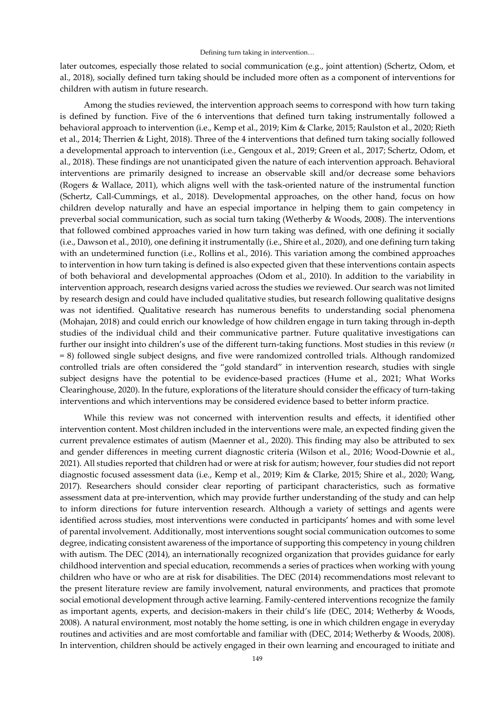later outcomes, especially those related to social communication (e.g., joint attention) (Schertz, Odom, et al., 2018), socially defined turn taking should be included more often as a component of interventions for children with autism in future research.

Among the studies reviewed, the intervention approach seems to correspond with how turn taking is defined by function. Five of the 6 interventions that defined turn taking instrumentally followed a behavioral approach to intervention (i.e., Kemp et al., 2019; Kim & Clarke, 2015; Raulston et al., 2020; Rieth et al., 2014; Therrien & Light, 2018). Three of the 4 interventions that defined turn taking socially followed a developmental approach to intervention (i.e., Gengoux et al., 2019; Green et al., 2017; Schertz, Odom, et al., 2018). These findings are not unanticipated given the nature of each intervention approach. Behavioral interventions are primarily designed to increase an observable skill and/or decrease some behaviors (Rogers & Wallace, 2011), which aligns well with the task-oriented nature of the instrumental function (Schertz, Call-Cummings, et al., 2018). Developmental approaches, on the other hand, focus on how children develop naturally and have an especial importance in helping them to gain competency in preverbal social communication, such as social turn taking (Wetherby & Woods, 2008). The interventions that followed combined approaches varied in how turn taking was defined, with one defining it socially (i.e., Dawson et al., 2010), one defining it instrumentally (i.e., Shire et al., 2020), and one defining turn taking with an undetermined function (i.e., Rollins et al., 2016). This variation among the combined approaches to intervention in how turn taking is defined is also expected given that these interventions contain aspects of both behavioral and developmental approaches (Odom et al., 2010). In addition to the variability in intervention approach, research designs varied across the studies we reviewed. Our search was not limited by research design and could have included qualitative studies, but research following qualitative designs was not identified. Qualitative research has numerous benefits to understanding social phenomena (Mohajan, 2018) and could enrich our knowledge of how children engage in turn taking through in-depth studies of the individual child and their communicative partner. Future qualitative investigations can further our insight into children's use of the different turn-taking functions. Most studies in this review (*n*  = 8) followed single subject designs, and five were randomized controlled trials. Although randomized controlled trials are often considered the "gold standard" in intervention research, studies with single subject designs have the potential to be evidence-based practices (Hume et al., 2021; What Works Clearinghouse, 2020). In the future, explorations of the literature should consider the efficacy of turn-taking interventions and which interventions may be considered evidence based to better inform practice.

While this review was not concerned with intervention results and effects, it identified other intervention content. Most children included in the interventions were male, an expected finding given the current prevalence estimates of autism (Maenner et al., 2020). This finding may also be attributed to sex and gender differences in meeting current diagnostic criteria (Wilson et al., 2016; Wood-Downie et al., 2021). All studies reported that children had or were at risk for autism; however, four studies did not report diagnostic focused assessment data (i.e., Kemp et al., 2019; Kim & Clarke, 2015; Shire et al., 2020; Wang, 2017). Researchers should consider clear reporting of participant characteristics, such as formative assessment data at pre-intervention, which may provide further understanding of the study and can help to inform directions for future intervention research. Although a variety of settings and agents were identified across studies, most interventions were conducted in participants' homes and with some level of parental involvement. Additionally, most interventions sought social communication outcomes to some degree, indicating consistent awareness of the importance of supporting this competency in young children with autism. The DEC (2014), an internationally recognized organization that provides guidance for early childhood intervention and special education, recommends a series of practices when working with young children who have or who are at risk for disabilities. The DEC (2014) recommendations most relevant to the present literature review are family involvement, natural environments, and practices that promote social emotional development through active learning. Family-centered interventions recognize the family as important agents, experts, and decision-makers in their child's life (DEC, 2014; Wetherby & Woods, 2008). A natural environment, most notably the home setting, is one in which children engage in everyday routines and activities and are most comfortable and familiar with (DEC, 2014; Wetherby & Woods, 2008). In intervention, children should be actively engaged in their own learning and encouraged to initiate and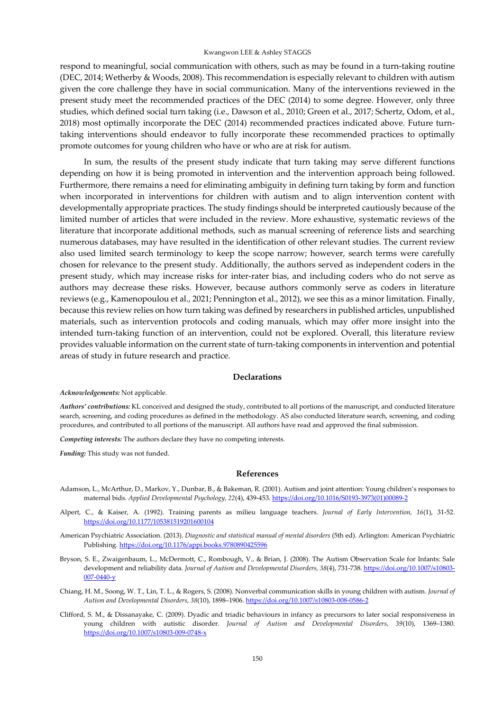respond to meaningful, social communication with others, such as may be found in a turn-taking routine (DEC, 2014; Wetherby & Woods, 2008). This recommendation is especially relevant to children with autism given the core challenge they have in social communication. Many of the interventions reviewed in the present study meet the recommended practices of the DEC (2014) to some degree. However, only three studies, which defined social turn taking (i.e., Dawson et al., 2010; Green et al., 2017; Schertz, Odom, et al., 2018) most optimally incorporate the DEC (2014) recommended practices indicated above. Future turntaking interventions should endeavor to fully incorporate these recommended practices to optimally promote outcomes for young children who have or who are at risk for autism.

In sum, the results of the present study indicate that turn taking may serve different functions depending on how it is being promoted in intervention and the intervention approach being followed. Furthermore, there remains a need for eliminating ambiguity in defining turn taking by form and function when incorporated in interventions for children with autism and to align intervention content with developmentally appropriate practices. The study findings should be interpreted cautiously because of the limited number of articles that were included in the review. More exhaustive, systematic reviews of the literature that incorporate additional methods, such as manual screening of reference lists and searching numerous databases, may have resulted in the identification of other relevant studies. The current review also used limited search terminology to keep the scope narrow; however, search terms were carefully chosen for relevance to the present study. Additionally, the authors served as independent coders in the present study, which may increase risks for inter-rater bias, and including coders who do not serve as authors may decrease these risks. However, because authors commonly serve as coders in literature reviews (e.g., Kamenopoulou et al., 2021; Pennington et al., 2012), we see this as a minor limitation. Finally, because this review relies on how turn taking was defined by researchers in published articles, unpublished materials, such as intervention protocols and coding manuals, which may offer more insight into the intended turn-taking function of an intervention, could not be explored. Overall, this literature review provides valuable information on the current state of turn-taking components in intervention and potential areas of study in future research and practice.

# **Declarations**

*Acknowledgements:* Not applicable.

*Authors' contributions:* KL conceived and designed the study, contributed to all portions of the manuscript, and conducted literature search, screening, and coding procedures as defined in the methodology. AS also conducted literature search, screening, and coding procedures, and contributed to all portions of the manuscript. All authors have read and approved the final submission.

*Competing interests:* The authors declare they have no competing interests.

*Funding:* This study was not funded.

#### **References**

- Adamson, L., McArthur, D., Markov, Y., Dunbar, B., & Bakeman, R. (2001). Autism and joint attention: Young children's responses to maternal bids. *Applied Developmental Psychology, 22*(4), 439-453. [https://doi.org/10.1016/S0193-3973\(01\)00089-2](https://doi.org/10.1016/S0193-3973(01)00089-2)
- Alpert, C., & Kaiser, A. (1992). Training parents as milieu language teachers. *Journal of Early Intervention, 16*(1), 31-52. <https://doi.org/10.1177/105381519201600104>
- American Psychiatric Association. (2013). *Diagnostic and statistical manual of mental disorders* (5th ed). Arlington: American Psychiatric Publishing. <https://doi.org/10.1176/appi.books.9780890425596>
- Bryson, S. E., Zwaigenbaum, L., McDermott, C., Rombough, V., & Brian, J. (2008). The Autism Observation Scale for Infants: Sale development and reliability data. *Journal of Autism and Developmental Disorders, 38*(4), 731-738. [https://doi.org/10.1007/s10803-](https://doi.org/10.1007/s10803-007-0440-y) [007-0440-y](https://doi.org/10.1007/s10803-007-0440-y)
- Chiang, H. M., Soong, W. T., Lin, T. L., & Rogers, S. (2008). Nonverbal communication skills in young children with autism. *Journal of Autism and Developmental Disorders, 38*(10), 1898–1906. <https://doi.org/10.1007/s10803-008-0586-2>
- Clifford, S. M., & Dissanayake, C. (2009). Dyadic and triadic behaviours in infancy as precursors to later social responsiveness in young children with autistic disorder. *Journal of Autism and Developmental Disorders, 39*(10), 1369–1380. <https://doi.org/10.1007/s10803-009-0748-x>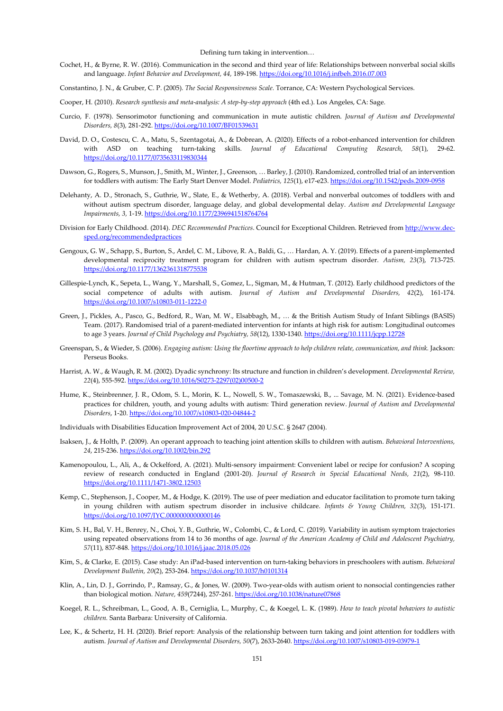Cochet, H., & Byrne, R. W. (2016). Communication in the second and third year of life: Relationships between nonverbal social skills and language. *Infant Behavior and Development, 44,* 189-198. <https://doi.org/10.1016/j.infbeh.2016.07.003>

Constantino, J. N., & Gruber, C. P. (2005). *The Social Responsiveness Scale.* Torrance, CA: Western Psychological Services.

- Cooper, H. (2010). *Research synthesis and meta-analysis: A step-by-step approach* (4th ed.). Los Angeles, CA: Sage.
- Curcio, F. (1978). Sensorimotor functioning and communication in mute autistic children. *Journal of Autism and Developmental Disorders, 8*(3)*,* 281-292. <https://doi.org/10.1007/BF01539631>
- David, D. O., Costescu, C. A., Matu, S., Szentagotai, A., & Dobrean, A. (2020). Effects of a robot-enhanced intervention for children with ASD on teaching turn-taking skills. *Journal of Educational Computing Research, 58*(1), 29-62. <https://doi.org/10.1177/0735633119830344>
- Dawson, G., Rogers, S., Munson, J., Smith, M., Winter, J., Greenson, … Barley, J. (2010). Randomized, controlled trial of an intervention for toddlers with autism: The Early Start Denver Model. *Pediatrics, 125*(1), e17-e23. <https://doi.org/10.1542/peds.2009-0958>
- Delehanty, A. D., Stronach, S., Guthrie, W., Slate, E., & Wetherby, A. (2018). Verbal and nonverbal outcomes of toddlers with and without autism spectrum disorder, language delay, and global developmental delay. *Autism and Developmental Language Impairments, 3,* 1-19. <https://doi.org/10.1177/2396941518764764>
- Division for Early Childhood. (2014). *DEC Recommended Practices*. Council for Exceptional Children. Retrieved from [http://www.dec](http://www.dec-sped.org/recommendedpractices)[sped.org/recommendedpractices](http://www.dec-sped.org/recommendedpractices)
- Gengoux, G. W., Schapp, S., Burton, S., Ardel, C. M., Libove, R. A., Baldi, G., … Hardan, A. Y. (2019). Effects of a parent-implemented developmental reciprocity treatment program for children with autism spectrum disorder. *Autism, 23*(3), 713-725. <https://doi.org/10.1177/1362361318775538>
- Gillespie-Lynch, K., Sepeta, L., Wang, Y., Marshall, S., Gomez, L., Sigman, M., & Hutman, T. (2012). Early childhood predictors of the social competence of adults with autism. *Journal of Autism and Developmental Disorders, 42*(2), 161-174. <https://doi.org/10.1007/s10803-011-1222-0>
- Green, J., Pickles, A., Pasco, G., Bedford, R., Wan, M. W., Elsabbagh, M., … & the British Autism Study of Infant Siblings (BASIS) Team. (2017). Randomised trial of a parent-mediated intervention for infants at high risk for autism: Longitudinal outcomes to age 3 years. *Journal of Child Psychology and Psychiatry, 58*(12), 1330-1340. <https://doi.org/10.1111/jcpp.12728>
- Greenspan, S., & Wieder, S. (2006). *Engaging autism: Using the floortime approach to help children relate, communication, and think.* Jackson: Perseus Books.
- Harrist, A. W., & Waugh, R. M. (2002). Dyadic synchrony: Its structure and function in children's development. *Developmental Review, 22*(4), 555-592. [https://doi.org/10.1016/S0273-2297\(02\)00500-2](https://doi.org/10.1016/S0273-2297(02)00500-2)
- Hume, K., Steinbrenner, J. R., Odom, S. L., Morin, K. L., Nowell, S. W., Tomaszewski, B., ... Savage, M. N. (2021). Evidence-based practices for children, youth, and young adults with autism: Third generation review. *Journal of Autism and Developmental Disorders*, 1-20. <https://doi.org/10.1007/s10803-020-04844-2>
- Individuals with Disabilities Education Improvement Act of 2004, 20 U.S.C. § 2647 (2004).
- Isaksen, J., & Holth, P. (2009). An operant approach to teaching joint attention skills to children with autism. *Behavioral Interventions, 24*, 215-236. <https://doi.org/10.1002/bin.292>
- Kamenopoulou, L., Ali, A., & Ockelford, A. (2021). Multi-sensory impairment: Convenient label or recipe for confusion? A scoping review of research conducted in England (2001-20). *Journal of Research in Special Educational Needs, 21*(2), 98-110. <https://doi.org/10.1111/1471-3802.12503>
- Kemp, C., Stephenson, J., Cooper, M., & Hodge, K. (2019). The use of peer mediation and educator facilitation to promote turn taking in young children with autism spectrum disorder in inclusive childcare. *Infants & Young Children, 32*(3), 151-171. <https://doi.org/10.1097/IYC.0000000000000146>
- Kim, S. H., Bal, V. H., Benrey, N., Choi, Y. B., Guthrie, W., Colombi, C., & Lord, C. (2019). Variability in autism symptom trajectories using repeated observations from 14 to 36 months of age. *Journal of the American Academy of Child and Adolescent Psychiatry, 57*(11), 837-848. <https://doi.org/10.1016/j.jaac.2018.05.026>
- Kim, S., & Clarke, E. (2015). Case study: An iPad-based intervention on turn-taking behaviors in preschoolers with autism. *Behavioral Development Bulletin, 20*(2), 253-264. <https://doi.org/10.1037/h0101314>
- Klin, A., Lin, D. J., Gorrindo, P., Ramsay, G., & Jones, W. (2009). Two-year-olds with autism orient to nonsocial contingencies rather than biological motion. *Nature, 459*(7244), 257-261. <https://doi.org/10.1038/nature07868>
- Koegel, R. L., Schreibman, L., Good, A. B., Cerniglia, L., Murphy, C., & Koegel, L. K. (1989). *How to teach pivotal behaviors to autistic children.* Santa Barbara: University of California.
- Lee, K., & Schertz, H. H. (2020). Brief report: Analysis of the relationship between turn taking and joint attention for toddlers with autism. *Journal of Autism and Developmental Disorders, 50*(7), 2633-2640. <https://doi.org/10.1007/s10803-019-03979-1>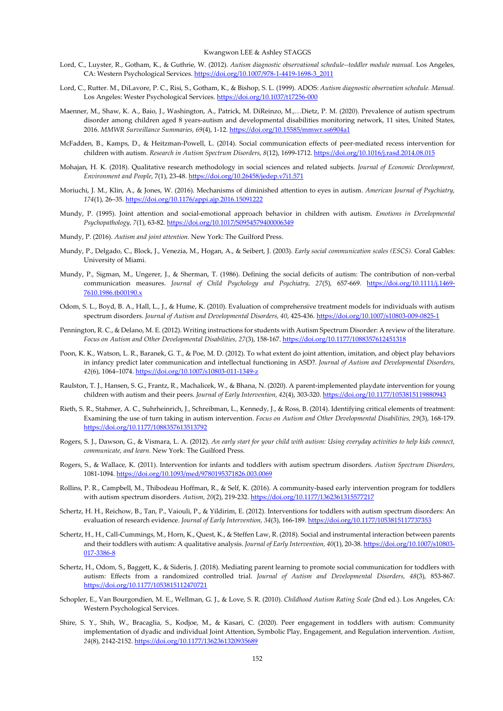- Lord, C., Luyster, R., Gotham, K., & Guthrie, W. (2012). *Autism diagnostic observational schedule--toddler module manual.* Los Angeles, CA: Western Psychological Services. [https://doi.org/10.1007/978-1-4419-1698-3\\_2011](https://doi.org/10.1007/978-1-4419-1698-3_2011)
- Lord, C., Rutter. M., DiLavore, P. C., Risi, S., Gotham, K., & Bishop, S. L. (1999). ADOS: *Autism diagnostic observation schedule. Manual.*  Los Angeles: Wester Psychological Services. <https://doi.org/10.1037/t17256-000>
- Maenner, M., Shaw, K. A., Baio, J., Washington, A., Patrick, M. DiReinzo, M.,…Dietz, P. M. (2020). Prevalence of autism spectrum disorder among children aged 8 years-autism and developmental disabilities monitoring network, 11 sites, United States, 2016. *MMWR Surveillance Summaries, 69*(4), 1-12.<https://doi.org/10.15585/mmwr.ss6904a1>
- McFadden, B., Kamps, D., & Heitzman-Powell, L. (2014). Social communication effects of peer-mediated recess intervention for children with autism. *Research in Autism Spectrum Disorders, 8*(12), 1699-1712. <https://doi.org/10.1016/j.rasd.2014.08.015>
- Mohajan, H. K. (2018). Qualitative research methodology in social sciences and related subjects. *Journal of Economic Development, Environment and People*, 7(1), 23-48. <https://doi.org/10.26458/jedep.v7i1.571>
- Moriuchi, J. M., Klin, A., & Jones, W. (2016). Mechanisms of diminished attention to eyes in autism. *American Journal of Psychiatry, 174*(1), 26–35. <https://doi.org/10.1176/appi.ajp.2016.15091222>
- Mundy, P. (1995). Joint attention and social-emotional approach behavior in children with autism. *Emotions in Developmental Psychopathology, 7*(1), 63-82. <https://doi.org/10.1017/S0954579400006349>
- Mundy, P. (2016). *Autism and joint attention.* New York: The Guilford Press.
- Mundy, P., Delgado, C., Block, J., Venezia, M., Hogan, A., & Seibert, J. (2003). *Early social communication scales (ESCS).* Coral Gables: University of Miami.
- Mundy, P., Sigman, M., Ungerer, J., & Sherman, T. (1986). Defining the social deficits of autism: The contribution of non-verbal communication measures. *Journal of Child Psychology and Psychiatry, 27*(5)*,* 657-669. [https://doi.org/10.1111/j.1469-](https://doi.org/10.1111/j.1469-7610.1986.tb00190.x) [7610.1986.tb00190.x](https://doi.org/10.1111/j.1469-7610.1986.tb00190.x)
- Odom, S. L., Boyd, B. A., Hall, L., J., & Hume, K. (2010). Evaluation of comprehensive treatment models for individuals with autism spectrum disorders. *Journal of Autism and Developmental Disorders, 40*, 425-436. <https://doi.org/10.1007/s10803-009-0825-1>
- Pennington, R. C., & Delano, M. E. (2012). Writing instructions for students with Autism Spectrum Disorder: A review of the literature. *Focus on Autism and Other Developmental Disabilities, 27*(3), 158-167. <https://doi.org/10.1177/1088357612451318>
- Poon, K. K., Watson, L. R., Baranek, G. T., & Poe, M. D. (2012). To what extent do joint attention, imitation, and object play behaviors in infancy predict later communication and intellectual functioning in ASD?. *Journal of Autism and Developmental Disorders, 42*(6), 1064–1074. <https://doi.org/10.1007/s10803-011-1349-z>
- Raulston, T. J., Hansen, S. G., Frantz, R., Machalicek, W., & Bhana, N. (2020). A parent-implemented playdate intervention for young children with autism and their peers. *Journal of Early Intervention*, 42(4), 303-320. <https://doi.org/10.1177/1053815119880943>
- Rieth, S. R., Stahmer, A. C., Suhrheinrich, J., Schreibman, L., Kennedy, J., & Ross, B. (2014). Identifying critical elements of treatment: Examining the use of turn taking in autism intervention. *Focus on Autism and Other Developmental Disabilities, 29*(3), 168-179. <https://doi.org/10.1177/1088357613513792>
- Rogers, S. J., Dawson, G., & Vismara, L. A. (2012). *An early start for your child with autism: Using everyday activities to help kids connect, communicate, and learn.* New York: The Guilford Press.
- Rogers, S., & Wallace, K. (2011). Intervention for infants and toddlers with autism spectrum disorders. *Autism Spectrum Disorders*, 1081-1094. <https://doi.org/10.1093/med/9780195371826.003.0069>
- Rollins, P. R., Campbell, M., Thibodeau Hoffman, R., & Self, K. (2016). A community-based early intervention program for toddlers with autism spectrum disorders. *Autism, 20*(2), 219-232. <https://doi.org/10.1177/1362361315577217>
- Schertz, H. H., Reichow, B., Tan, P., Vaiouli, P., & Yildirim, E. (2012). Interventions for toddlers with autism spectrum disorders: An evaluation of research evidence. *Journal of Early Intervention, 34*(3), 166-189. <https://doi.org/10.1177/1053815117737353>
- Schertz, H., H., Call-Cummings, M., Horn, K., Quest, K., & Steffen Law, R. (2018). Social and instrumental interaction between parents and their toddlers with autism: A qualitative analysis. *Journal of Early Intervention, 40*(1), 20-38. [https://doi.org/10.1007/s10803-](https://doi.org/10.1007/s10803-017-3386-8) [017-3386-8](https://doi.org/10.1007/s10803-017-3386-8)
- Schertz, H., Odom, S., Baggett, K., & Sideris, J. (2018). Mediating parent learning to promote social communication for toddlers with autism: Effects from a randomized controlled trial. *Journal of Autism and Developmental Disorders, 48*(3), 853-867. <https://doi.org/10.1177/1053815112470721>
- Schopler, E., Van Bourgondien, M. E., Wellman, G. J., & Love, S. R. (2010). *Childhood Autism Rating Scale* (2nd ed.). Los Angeles, CA: Western Psychological Services.
- Shire, S. Y., Shih, W., Bracaglia, S., Kodjoe, M., & Kasari, C. (2020). Peer engagement in toddlers with autism: Community implementation of dyadic and individual Joint Attention, Symbolic Play, Engagement, and Regulation intervention. *Autism, 24*(8), 2142-2152. <https://doi.org/10.1177/1362361320935689>